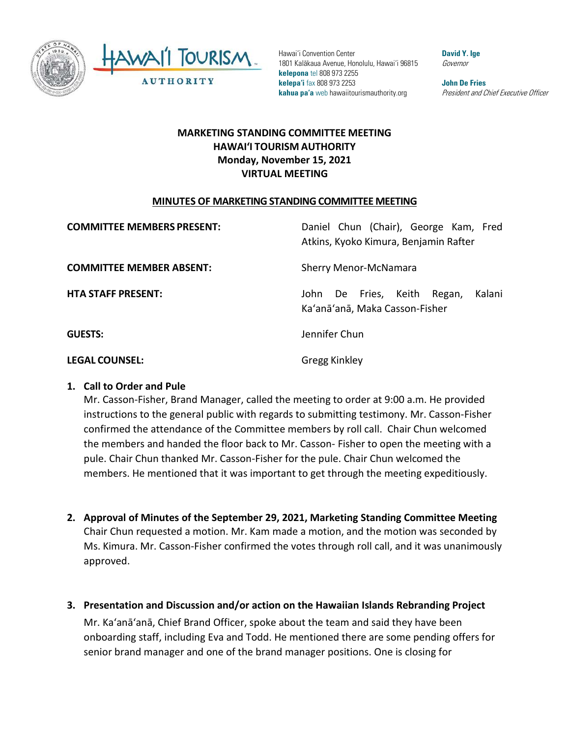

Hawai'i Convention Center 1801 Kalākaua Avenue, Honolulu, Hawai'i 96815 **kelepona** tel 808 973 2255 **kelepa'i** fax 808 973 2253 **kahua pa'a** web hawaiitourismauthority.org

**David Y. Ige** Governor

**John De Fries** President and Chief Executive Officer

# **MARKETING STANDING COMMITTEE MEETING HAWAI'I TOURISM AUTHORITY Monday, November 15, 2021 VIRTUAL MEETING**

#### **MINUTES OF MARKETING STANDING COMMITTEE MEETING**

| <b>COMMITTEE MEMBERS PRESENT:</b> | Daniel Chun (Chair), George Kam, Fred<br>Atkins, Kyoko Kimura, Benjamin Rafter |
|-----------------------------------|--------------------------------------------------------------------------------|
| <b>COMMITTEE MEMBER ABSENT:</b>   | <b>Sherry Menor-McNamara</b>                                                   |
| <b>HTA STAFF PRESENT:</b>         | John De Fries, Keith Regan,<br>Kalani<br>Ka'anā'anā, Maka Casson-Fisher        |
| <b>GUESTS:</b>                    | Jennifer Chun                                                                  |
| <b>LEGAL COUNSEL:</b>             | <b>Gregg Kinkley</b>                                                           |

### **1. Call to Order and Pule**

Mr. Casson-Fisher, Brand Manager, called the meeting to order at 9:00 a.m. He provided instructions to the general public with regards to submitting testimony. Mr. Casson-Fisher confirmed the attendance of the Committee members by roll call. Chair Chun welcomed the members and handed the floor back to Mr. Casson- Fisher to open the meeting with a pule. Chair Chun thanked Mr. Casson-Fisher for the pule. Chair Chun welcomed the members. He mentioned that it was important to get through the meeting expeditiously.

- **2. Approval of Minutes of the September 29, 2021, Marketing Standing Committee Meeting** Chair Chun requested a motion. Mr. Kam made a motion, and the motion was seconded by Ms. Kimura. Mr. Casson-Fisher confirmed the votes through roll call, and it was unanimously approved.
- **3. Presentation and Discussion and/or action on the Hawaiian Islands Rebranding Project** Mr. Ka'anā'anā, Chief Brand Officer, spoke about the team and said they have been onboarding staff, including Eva and Todd. He mentioned there are some pending offers for senior brand manager and one of the brand manager positions. One is closing for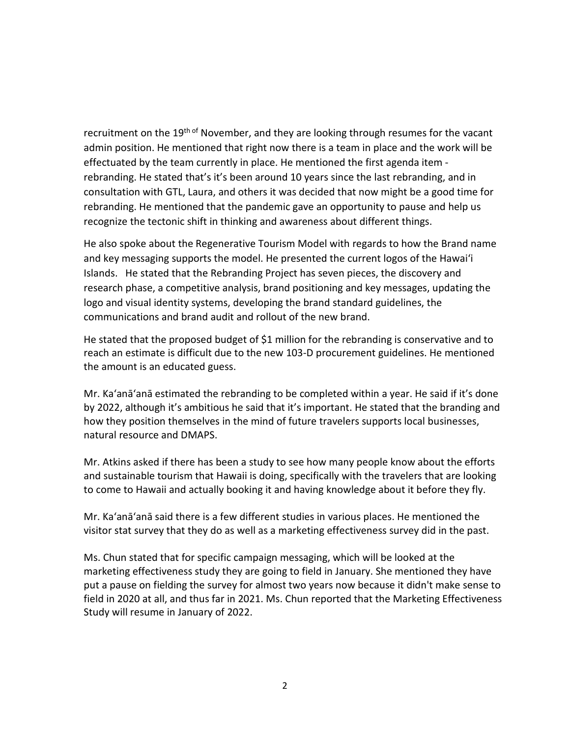recruitment on the 19<sup>th of</sup> November, and they are looking through resumes for the vacant admin position. He mentioned that right now there is a team in place and the work will be effectuated by the team currently in place. He mentioned the first agenda item rebranding. He stated that's it's been around 10 years since the last rebranding, and in consultation with GTL, Laura, and others it was decided that now might be a good time for rebranding. He mentioned that the pandemic gave an opportunity to pause and help us recognize the tectonic shift in thinking and awareness about different things.

He also spoke about the Regenerative Tourism Model with regards to how the Brand name and key messaging supports the model. He presented the current logos of the Hawai'i Islands. He stated that the Rebranding Project has seven pieces, the discovery and research phase, a competitive analysis, brand positioning and key messages, updating the logo and visual identity systems, developing the brand standard guidelines, the communications and brand audit and rollout of the new brand.

He stated that the proposed budget of \$1 million for the rebranding is conservative and to reach an estimate is difficult due to the new 103-D procurement guidelines. He mentioned the amount is an educated guess.

Mr. Ka'anā'anā estimated the rebranding to be completed within a year. He said if it's done by 2022, although it's ambitious he said that it's important. He stated that the branding and how they position themselves in the mind of future travelers supports local businesses, natural resource and DMAPS.

Mr. Atkins asked if there has been a study to see how many people know about the efforts and sustainable tourism that Hawaii is doing, specifically with the travelers that are looking to come to Hawaii and actually booking it and having knowledge about it before they fly.

Mr. Ka'anā'anā said there is a few different studies in various places. He mentioned the visitor stat survey that they do as well as a marketing effectiveness survey did in the past.

Ms. Chun stated that for specific campaign messaging, which will be looked at the marketing effectiveness study they are going to field in January. She mentioned they have put a pause on fielding the survey for almost two years now because it didn't make sense to field in 2020 at all, and thus far in 2021. Ms. Chun reported that the Marketing Effectiveness Study will resume in January of 2022.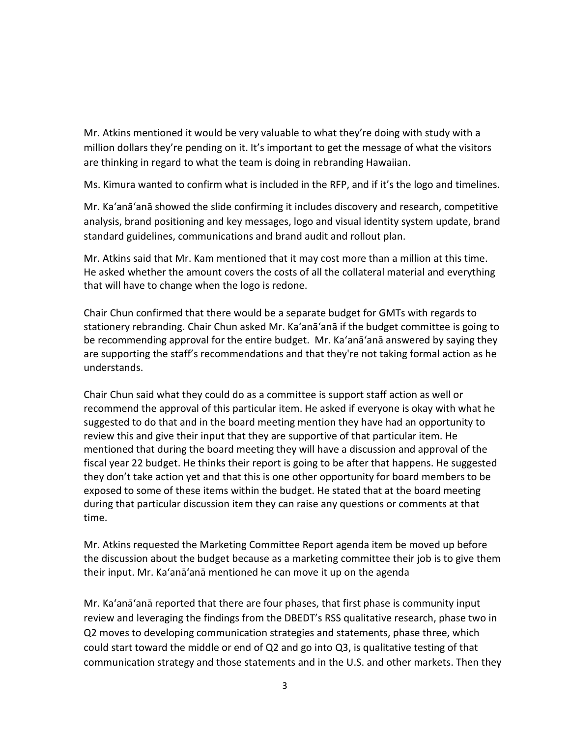Mr. Atkins mentioned it would be very valuable to what they're doing with study with a million dollars they're pending on it. It's important to get the message of what the visitors are thinking in regard to what the team is doing in rebranding Hawaiian.

Ms. Kimura wanted to confirm what is included in the RFP, and if it's the logo and timelines.

Mr. Ka'anā'anā showed the slide confirming it includes discovery and research, competitive analysis, brand positioning and key messages, logo and visual identity system update, brand standard guidelines, communications and brand audit and rollout plan.

Mr. Atkins said that Mr. Kam mentioned that it may cost more than a million at this time. He asked whether the amount covers the costs of all the collateral material and everything that will have to change when the logo is redone.

Chair Chun confirmed that there would be a separate budget for GMTs with regards to stationery rebranding. Chair Chun asked Mr. Ka'anā'anā if the budget committee is going to be recommending approval for the entire budget. Mr. Ka'anā'anā answered by saying they are supporting the staff's recommendations and that they're not taking formal action as he understands.

Chair Chun said what they could do as a committee is support staff action as well or recommend the approval of this particular item. He asked if everyone is okay with what he suggested to do that and in the board meeting mention they have had an opportunity to review this and give their input that they are supportive of that particular item. He mentioned that during the board meeting they will have a discussion and approval of the fiscal year 22 budget. He thinks their report is going to be after that happens. He suggested they don't take action yet and that this is one other opportunity for board members to be exposed to some of these items within the budget. He stated that at the board meeting during that particular discussion item they can raise any questions or comments at that time.

Mr. Atkins requested the Marketing Committee Report agenda item be moved up before the discussion about the budget because as a marketing committee their job is to give them their input. Mr. Ka'anā'anā mentioned he can move it up on the agenda

Mr. Ka'anā'anā reported that there are four phases, that first phase is community input review and leveraging the findings from the DBEDT's RSS qualitative research, phase two in Q2 moves to developing communication strategies and statements, phase three, which could start toward the middle or end of Q2 and go into Q3, is qualitative testing of that communication strategy and those statements and in the U.S. and other markets. Then they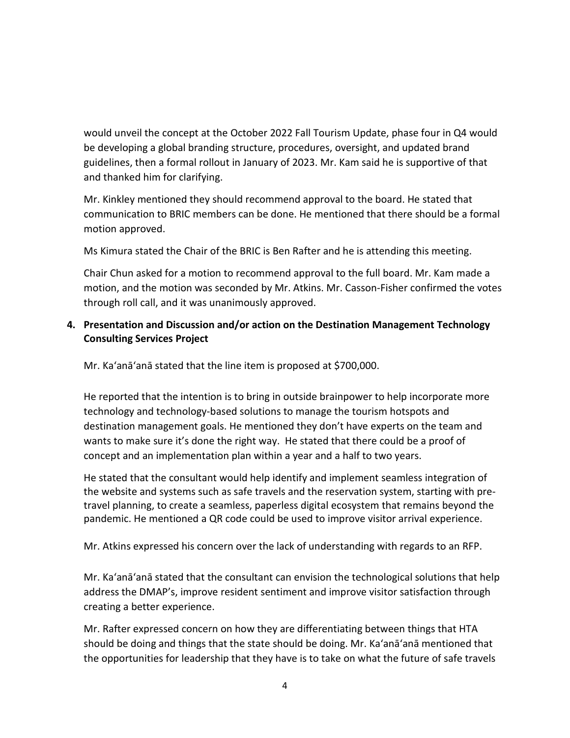would unveil the concept at the October 2022 Fall Tourism Update, phase four in Q4 would be developing a global branding structure, procedures, oversight, and updated brand guidelines, then a formal rollout in January of 2023. Mr. Kam said he is supportive of that and thanked him for clarifying.

Mr. Kinkley mentioned they should recommend approval to the board. He stated that communication to BRIC members can be done. He mentioned that there should be a formal motion approved.

Ms Kimura stated the Chair of the BRIC is Ben Rafter and he is attending this meeting.

Chair Chun asked for a motion to recommend approval to the full board. Mr. Kam made a motion, and the motion was seconded by Mr. Atkins. Mr. Casson-Fisher confirmed the votes through roll call, and it was unanimously approved.

## **4. Presentation and Discussion and/or action on the Destination Management Technology Consulting Services Project**

Mr. Ka'anā'anā stated that the line item is proposed at \$700,000.

He reported that the intention is to bring in outside brainpower to help incorporate more technology and technology-based solutions to manage the tourism hotspots and destination management goals. He mentioned they don't have experts on the team and wants to make sure it's done the right way. He stated that there could be a proof of concept and an implementation plan within a year and a half to two years.

He stated that the consultant would help identify and implement seamless integration of the website and systems such as safe travels and the reservation system, starting with pretravel planning, to create a seamless, paperless digital ecosystem that remains beyond the pandemic. He mentioned a QR code could be used to improve visitor arrival experience.

Mr. Atkins expressed his concern over the lack of understanding with regards to an RFP.

Mr. Ka'anā'anā stated that the consultant can envision the technological solutions that help address the DMAP's, improve resident sentiment and improve visitor satisfaction through creating a better experience.

Mr. Rafter expressed concern on how they are differentiating between things that HTA should be doing and things that the state should be doing. Mr. Ka'anā'anā mentioned that the opportunities for leadership that they have is to take on what the future of safe travels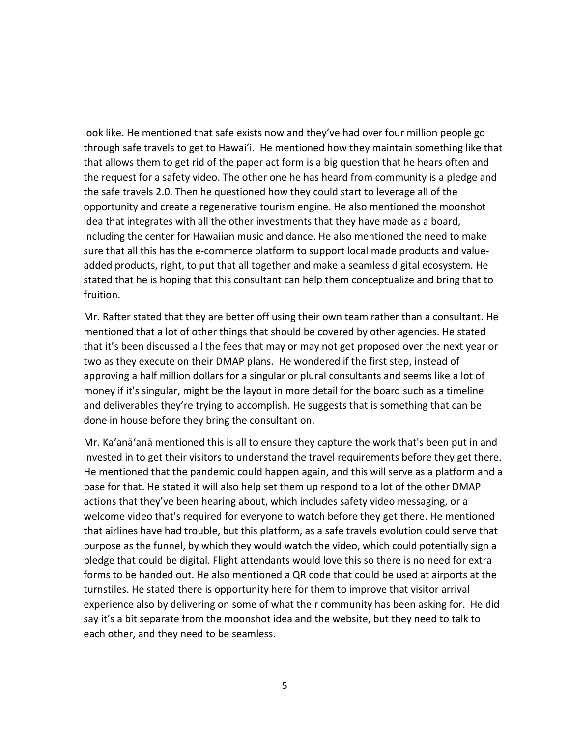look like. He mentioned that safe exists now and they've had over four million people go through safe travels to get to Hawai'i. He mentioned how they maintain something like that that allows them to get rid of the paper act form is a big question that he hears often and the request for a safety video. The other one he has heard from community is a pledge and the safe travels 2.0. Then he questioned how they could start to leverage all of the opportunity and create a regenerative tourism engine. He also mentioned the moonshot idea that integrates with all the other investments that they have made as a board, including the center for Hawaiian music and dance. He also mentioned the need to make sure that all this has the e-commerce platform to support local made products and valueadded products, right, to put that all together and make a seamless digital ecosystem. He stated that he is hoping that this consultant can help them conceptualize and bring that to fruition.

Mr. Rafter stated that they are better off using their own team rather than a consultant. He mentioned that a lot of other things that should be covered by other agencies. He stated that it's been discussed all the fees that may or may not get proposed over the next year or two as they execute on their DMAP plans. He wondered if the first step, instead of approving a half million dollars for a singular or plural consultants and seems like a lot of money if it's singular, might be the layout in more detail for the board such as a timeline and deliverables they're trying to accomplish. He suggests that is something that can be done in house before they bring the consultant on.

Mr. Ka'anā'anā mentioned this is all to ensure they capture the work that's been put in and invested in to get their visitors to understand the travel requirements before they get there. He mentioned that the pandemic could happen again, and this will serve as a platform and a base for that. He stated it will also help set them up respond to a lot of the other DMAP actions that they've been hearing about, which includes safety video messaging, or a welcome video that's required for everyone to watch before they get there. He mentioned that airlines have had trouble, but this platform, as a safe travels evolution could serve that purpose as the funnel, by which they would watch the video, which could potentially sign a pledge that could be digital. Flight attendants would love this so there is no need for extra forms to be handed out. He also mentioned a QR code that could be used at airports at the turnstiles. He stated there is opportunity here for them to improve that visitor arrival experience also by delivering on some of what their community has been asking for. He did say it's a bit separate from the moonshot idea and the website, but they need to talk to each other, and they need to be seamless.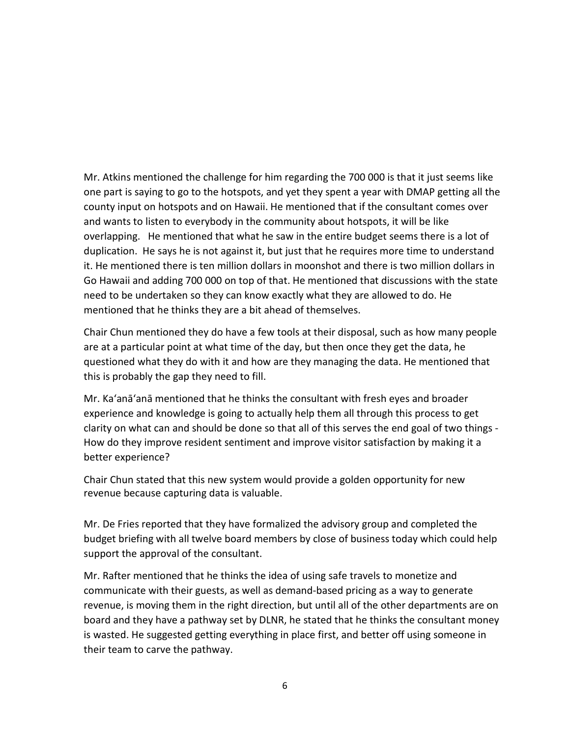Mr. Atkins mentioned the challenge for him regarding the 700 000 is that it just seems like one part is saying to go to the hotspots, and yet they spent a year with DMAP getting all the county input on hotspots and on Hawaii. He mentioned that if the consultant comes over and wants to listen to everybody in the community about hotspots, it will be like overlapping. He mentioned that what he saw in the entire budget seems there is a lot of duplication. He says he is not against it, but just that he requires more time to understand it. He mentioned there is ten million dollars in moonshot and there is two million dollars in Go Hawaii and adding 700 000 on top of that. He mentioned that discussions with the state need to be undertaken so they can know exactly what they are allowed to do. He mentioned that he thinks they are a bit ahead of themselves.

Chair Chun mentioned they do have a few tools at their disposal, such as how many people are at a particular point at what time of the day, but then once they get the data, he questioned what they do with it and how are they managing the data. He mentioned that this is probably the gap they need to fill.

Mr. Ka'anā'anā mentioned that he thinks the consultant with fresh eyes and broader experience and knowledge is going to actually help them all through this process to get clarity on what can and should be done so that all of this serves the end goal of two things - How do they improve resident sentiment and improve visitor satisfaction by making it a better experience?

Chair Chun stated that this new system would provide a golden opportunity for new revenue because capturing data is valuable.

Mr. De Fries reported that they have formalized the advisory group and completed the budget briefing with all twelve board members by close of business today which could help support the approval of the consultant.

Mr. Rafter mentioned that he thinks the idea of using safe travels to monetize and communicate with their guests, as well as demand-based pricing as a way to generate revenue, is moving them in the right direction, but until all of the other departments are on board and they have a pathway set by DLNR, he stated that he thinks the consultant money is wasted. He suggested getting everything in place first, and better off using someone in their team to carve the pathway.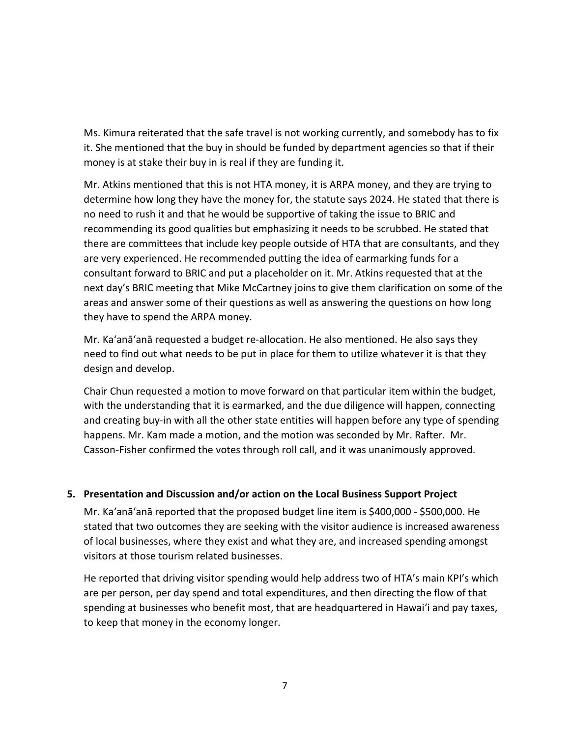Ms. Kimura reiterated that the safe travel is not working currently, and somebody has to fix it. She mentioned that the buy in should be funded by department agencies so that if their money is at stake their buy in is real if they are funding it.

Mr. Atkins mentioned that this is not HTA money, it is ARPA money, and they are trying to determine how long they have the money for, the statute says 2024. He stated that there is no need to rush it and that he would be supportive of taking the issue to BRIC and recommending its good qualities but emphasizing it needs to be scrubbed. He stated that there are committees that include key people outside of HTA that are consultants, and they are very experienced. He recommended putting the idea of earmarking funds for a consultant forward to BRIC and put a placeholder on it. Mr. Atkins requested that at the next day's BRIC meeting that Mike McCartney joins to give them clarification on some of the areas and answer some of their questions as well as answering the questions on how long they have to spend the ARPA money.

Mr. Ka'anā'anā requested a budget re-allocation. He also mentioned. He also says they need to find out what needs to be put in place for them to utilize whatever it is that they design and develop.

Chair Chun requested a motion to move forward on that particular item within the budget, with the understanding that it is earmarked, and the due diligence will happen, connecting and creating buy-in with all the other state entities will happen before any type of spending happens. Mr. Kam made a motion, and the motion was seconded by Mr. Rafter. Mr. Casson-Fisher confirmed the votes through roll call, and it was unanimously approved.

### **5. Presentation and Discussion and/or action on the Local Business Support Project**

Mr. Ka'anā'anā reported that the proposed budget line item is \$400,000 - \$500,000. He stated that two outcomes they are seeking with the visitor audience is increased awareness of local businesses, where they exist and what they are, and increased spending amongst visitors at those tourism related businesses.

He reported that driving visitor spending would help address two of HTA's main KPI's which are per person, per day spend and total expenditures, and then directing the flow of that spending at businesses who benefit most, that are headquartered in Hawai'i and pay taxes, to keep that money in the economy longer.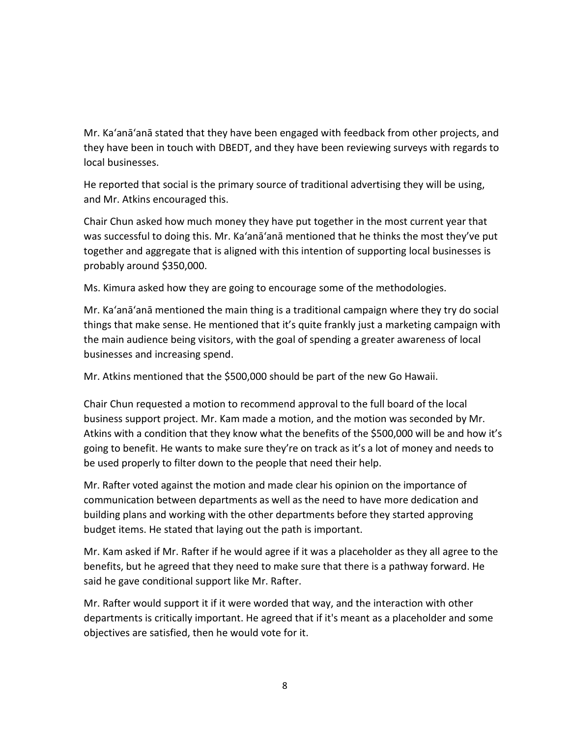Mr. Ka'anā'anā stated that they have been engaged with feedback from other projects, and they have been in touch with DBEDT, and they have been reviewing surveys with regards to local businesses.

He reported that social is the primary source of traditional advertising they will be using, and Mr. Atkins encouraged this.

Chair Chun asked how much money they have put together in the most current year that was successful to doing this. Mr. Ka'anā'anā mentioned that he thinks the most they've put together and aggregate that is aligned with this intention of supporting local businesses is probably around \$350,000.

Ms. Kimura asked how they are going to encourage some of the methodologies.

Mr. Ka'anā'anā mentioned the main thing is a traditional campaign where they try do social things that make sense. He mentioned that it's quite frankly just a marketing campaign with the main audience being visitors, with the goal of spending a greater awareness of local businesses and increasing spend.

Mr. Atkins mentioned that the \$500,000 should be part of the new Go Hawaii.

Chair Chun requested a motion to recommend approval to the full board of the local business support project. Mr. Kam made a motion, and the motion was seconded by Mr. Atkins with a condition that they know what the benefits of the \$500,000 will be and how it's going to benefit. He wants to make sure they're on track as it's a lot of money and needs to be used properly to filter down to the people that need their help.

Mr. Rafter voted against the motion and made clear his opinion on the importance of communication between departments as well as the need to have more dedication and building plans and working with the other departments before they started approving budget items. He stated that laying out the path is important.

Mr. Kam asked if Mr. Rafter if he would agree if it was a placeholder as they all agree to the benefits, but he agreed that they need to make sure that there is a pathway forward. He said he gave conditional support like Mr. Rafter.

Mr. Rafter would support it if it were worded that way, and the interaction with other departments is critically important. He agreed that if it's meant as a placeholder and some objectives are satisfied, then he would vote for it.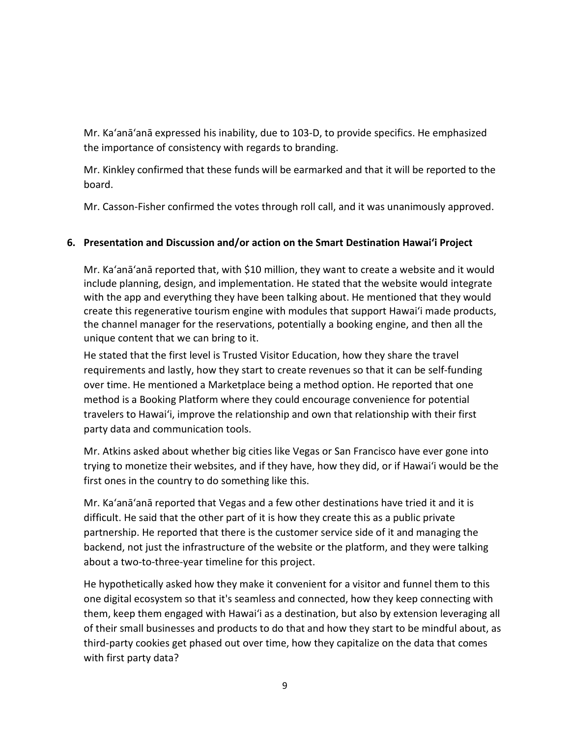Mr. Ka'anā'anā expressed his inability, due to 103-D, to provide specifics. He emphasized the importance of consistency with regards to branding.

Mr. Kinkley confirmed that these funds will be earmarked and that it will be reported to the board.

Mr. Casson-Fisher confirmed the votes through roll call, and it was unanimously approved.

# **6. Presentation and Discussion and/or action on the Smart Destination Hawai'i Project**

Mr. Ka'anā'anā reported that, with \$10 million, they want to create a website and it would include planning, design, and implementation. He stated that the website would integrate with the app and everything they have been talking about. He mentioned that they would create this regenerative tourism engine with modules that support Hawai'i made products, the channel manager for the reservations, potentially a booking engine, and then all the unique content that we can bring to it.

He stated that the first level is Trusted Visitor Education, how they share the travel requirements and lastly, how they start to create revenues so that it can be self-funding over time. He mentioned a Marketplace being a method option. He reported that one method is a Booking Platform where they could encourage convenience for potential travelers to Hawai'i, improve the relationship and own that relationship with their first party data and communication tools.

Mr. Atkins asked about whether big cities like Vegas or San Francisco have ever gone into trying to monetize their websites, and if they have, how they did, or if Hawai'i would be the first ones in the country to do something like this.

Mr. Ka'anā'anā reported that Vegas and a few other destinations have tried it and it is difficult. He said that the other part of it is how they create this as a public private partnership. He reported that there is the customer service side of it and managing the backend, not just the infrastructure of the website or the platform, and they were talking about a two-to-three-year timeline for this project.

He hypothetically asked how they make it convenient for a visitor and funnel them to this one digital ecosystem so that it's seamless and connected, how they keep connecting with them, keep them engaged with Hawai'i as a destination, but also by extension leveraging all of their small businesses and products to do that and how they start to be mindful about, as third-party cookies get phased out over time, how they capitalize on the data that comes with first party data?